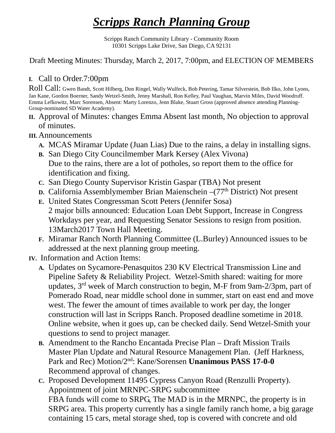## *Scripps Ranch Planning Group*

Scripps Ranch Community Library - Community Room 10301 Scripps Lake Drive, San Diego, CA 92131

Draft Meeting Minutes: Thursday, March 2, 2017, 7:00pm, and ELECTION OF MEMBERS

## **I.** Call to Order.7:00pm

Roll Call: Gwen Bandt, Scott Hilberg, Don Ringel, Wally Wulfeck, Bob Petering, Tamar Silverstein, Bob Ilko, John Lyons, Jan Kane, Gordon Boerner, Sandy Wetzel-Smith, Jenny Marshall, Ron Kelley, Paul Vaughan, Marvin Miles, David Woodruff. Emma Lefkowitz, Marc Sorensen, Absent: Marty Lorenzo, Jenn Blake, Stuart Gross (approved absence attending Planning-Group-nominated SD Water Academy).

**II.** Approval of Minutes: changes Emma Absent last month, No objection to approval of minutes.

## **III.** Announcements

- **A.** MCAS Miramar Update (Juan Lias) Due to the rains, a delay in installing signs.
- **B.** San Diego City Councilmember Mark Kersey (Alex Vivona) Due to the rains, there are a lot of potholes, so report them to the office for identification and fixing.
- **C.** San Diego County Supervisor Kristin Gaspar (TBA) Not present
- **D.** California Assemblymember Brian Maienschein –(77<sup>th</sup> District) Not present
- **E.** United States Congressman Scott Peters (Jennifer Sosa) 2 major bills announced: Education Loan Debt Support, Increase in Congress Workdays per year, and Requesting Senator Sessions to resign from position. 13March2017 Town Hall Meeting.
- **F.** Miramar Ranch North Planning Committee (L.Burley) Announced issues to be addressed at the next planning group meeting.
- **IV.** Information and Action Items:
	- **A.** Updates on Sycamore-Penasquitos 230 KV Electrical Transmission Line and Pipeline Safety & Reliability Project. Wetzel-Smith shared: waiting for more updates, 3rd week of March construction to begin, M-F from 9am-2/3pm, part of Pomerado Road, near middle school done in summer, start on east end and move west. The fewer the amount of times available to work per day, the longer construction will last in Scripps Ranch. Proposed deadline sometime in 2018. Online website, when it goes up, can be checked daily. Send Wetzel-Smith your questions to send to project manager.
	- **B.** Amendment to the Rancho Encantada Precise Plan Draft Mission Trails Master Plan Update and Natural Resource Management Plan. (Jeff Harkness, Park and Rec) Motion/2nd: Kane/Sorensen **Unanimous PASS 17-0-0** Recommend approval of changes.
	- **C.** Proposed Development 11495 Cypress Canyon Road (Renzulli Property). Appointment of joint MRNPC-SRPG subcommittee FBA funds will come to SRPG, The MAD is in the MRNPC, the property is in SRPG area. This property currently has a single family ranch home, a big garage containing 15 cars, metal storage shed, top is covered with concrete and old